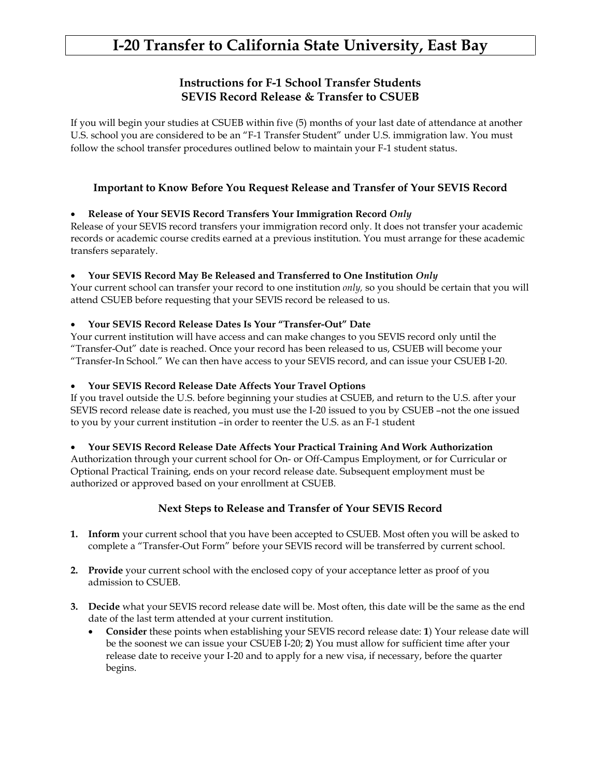# **I-20 Transfer to California State University, East Bay**

## **Instructions for F-1 School Transfer Students SEVIS Record Release & Transfer to CSUEB**

If you will begin your studies at CSUEB within five (5) months of your last date of attendance at another U.S. school you are considered to be an "F-1 Transfer Student" under U.S. immigration law. You must follow the school transfer procedures outlined below to maintain your F-1 student status.

## **Important to Know Before You Request Release and Transfer of Your SEVIS Record**

## • **Release of Your SEVIS Record Transfers Your Immigration Record** *Only*

Release of your SEVIS record transfers your immigration record only. It does not transfer your academic records or academic course credits earned at a previous institution. You must arrange for these academic transfers separately.

## • **Your SEVIS Record May Be Released and Transferred to One Institution** *Only*

Your current school can transfer your record to one institution *only,* so you should be certain that you will attend CSUEB before requesting that your SEVIS record be released to us.

#### • **Your SEVIS Record Release Dates Is Your "Transfer-Out" Date**

Your current institution will have access and can make changes to you SEVIS record only until the "Transfer-Out" date is reached. Once your record has been released to us, CSUEB will become your "Transfer-In School." We can then have access to your SEVIS record, and can issue your CSUEB I-20.

#### • **Your SEVIS Record Release Date Affects Your Travel Options**

If you travel outside the U.S. before beginning your studies at CSUEB, and return to the U.S. after your SEVIS record release date is reached, you must use the I-20 issued to you by CSUEB –not the one issued to you by your current institution –in order to reenter the U.S. as an F-1 student

#### • **Your SEVIS Record Release Date Affects Your Practical Training And Work Authorization**

Authorization through your current school for On- or Off-Campus Employment, or for Curricular or Optional Practical Training, ends on your record release date. Subsequent employment must be authorized or approved based on your enrollment at CSUEB.

## **Next Steps to Release and Transfer of Your SEVIS Record**

- **1. Inform** your current school that you have been accepted to CSUEB. Most often you will be asked to complete a "Transfer-Out Form" before your SEVIS record will be transferred by current school.
- **2. Provide** your current school with the enclosed copy of your acceptance letter as proof of you admission to CSUEB.
- **3. Decide** what your SEVIS record release date will be. Most often, this date will be the same as the end date of the last term attended at your current institution.
	- **Consider** these points when establishing your SEVIS record release date: **1**) Your release date will be the soonest we can issue your CSUEB I-20; **2**) You must allow for sufficient time after your release date to receive your I-20 and to apply for a new visa, if necessary, before the quarter begins.